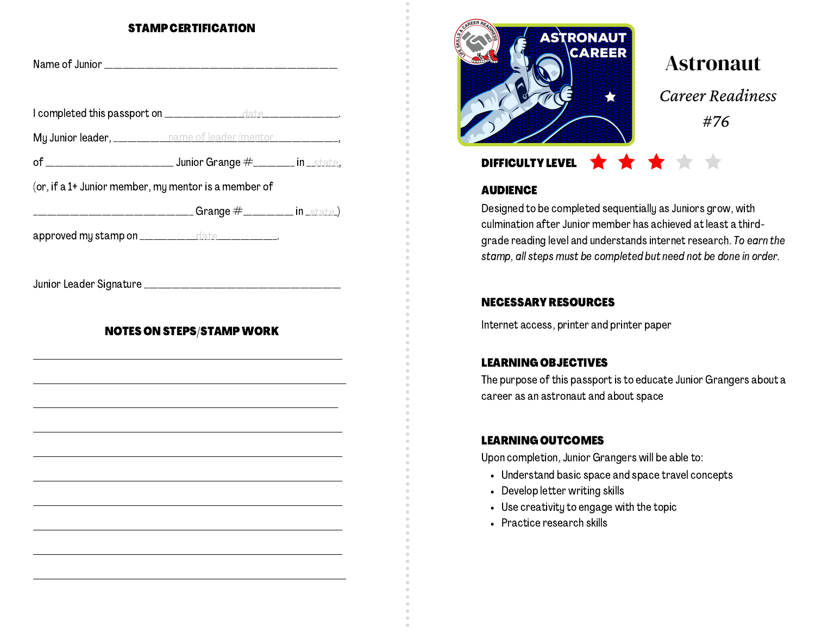#### STAMP CERTIFICATION

| My Junior leader, __________ name of leader/mentor ______________, |                                                                                       |  |
|--------------------------------------------------------------------|---------------------------------------------------------------------------------------|--|
|                                                                    |                                                                                       |  |
| (or, if a 1+ Junior member, my mentor is a member of               |                                                                                       |  |
|                                                                    | ____________________________Grange                    #____________    in _state    ) |  |
| approved my stamp on _____________date ____________.               |                                                                                       |  |
|                                                                    |                                                                                       |  |
|                                                                    | <b>NOTES ON STEPS/STAMP WORK</b>                                                      |  |
|                                                                    |                                                                                       |  |
|                                                                    |                                                                                       |  |
|                                                                    |                                                                                       |  |
|                                                                    |                                                                                       |  |
|                                                                    |                                                                                       |  |
|                                                                    |                                                                                       |  |
|                                                                    |                                                                                       |  |



# Astronaut

*Career Readiness #76*

## DIFFICULTY LEVEL  $\bigstar$   $\bigstar$

### **AUDIENCE**

Designed to be completed sequentially as Juniors grow, with culmination after Junior member has achieved at least a thirdgrade reading level and understands internet research. To earn the stamp, all steps must be completed but need not be done in order.

#### NECESSARY RESOURCES

Internet access, printer and printer paper

### LEARNING OBJECTIVES

The purpose of this passport is to educate Junior Grangers about a career as an astronaut and about space

### LEARNING OUTCOMES

Upon completion, Junior Grangers will be able to:

- Understand basic space and space travel concepts
- Develop letter writing skills
- Use creativity to engage with the topic
- Practice research skills